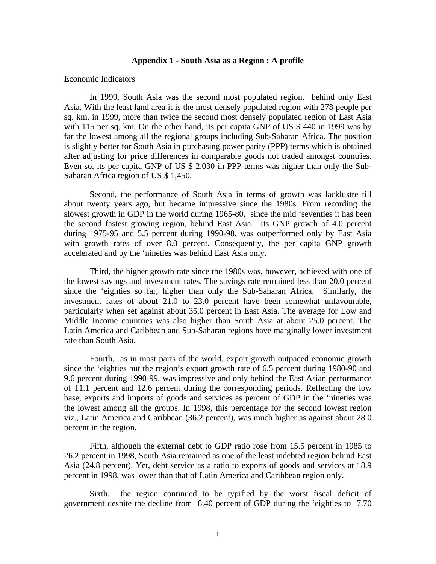## **Appendix 1 - South Asia as a Region : A profile**

### Economic Indicators

In 1999, South Asia was the second most populated region, behind only East Asia. With the least land area it is the most densely populated region with 278 people per sq. km. in 1999, more than twice the second most densely populated region of East Asia with 115 per sq. km. On the other hand, its per capita GNP of US \$ 440 in 1999 was by far the lowest among all the regional groups including Sub-Saharan Africa. The position is slightly better for South Asia in purchasing power parity (PPP) terms which is obtained after adjusting for price differences in comparable goods not traded amongst countries. Even so, its per capita GNP of US \$ 2,030 in PPP terms was higher than only the Sub-Saharan Africa region of US \$ 1,450.

Second, the performance of South Asia in terms of growth was lacklustre till about twenty years ago, but became impressive since the 1980s. From recording the slowest growth in GDP in the world during 1965-80, since the mid 'seventies it has been the second fastest growing region, behind East Asia. Its GNP growth of 4.0 percent during 1975-95 and 5.5 percent during 1990-98, was outperformed only by East Asia with growth rates of over 8.0 percent. Consequently, the per capita GNP growth accelerated and by the 'nineties was behind East Asia only.

Third, the higher growth rate since the 1980s was, however, achieved with one of the lowest savings and investment rates. The savings rate remained less than 20.0 percent since the 'eighties so far, higher than only the Sub-Saharan Africa. Similarly, the investment rates of about 21.0 to 23.0 percent have been somewhat unfavourable, particularly when set against about 35.0 percent in East Asia. The average for Low and Middle Income countries was also higher than South Asia at about 25.0 percent. The Latin America and Caribbean and Sub-Saharan regions have marginally lower investment rate than South Asia.

Fourth, as in most parts of the world, export growth outpaced economic growth since the 'eighties but the region's export growth rate of 6.5 percent during 1980-90 and 9.6 percent during 1990-99, was impressive and only behind the East Asian performance of 11.1 percent and 12.6 percent during the corresponding periods. Reflecting the low base, exports and imports of goods and services as percent of GDP in the 'nineties was the lowest among all the groups. In 1998, this percentage for the second lowest region viz., Latin America and Caribbean (36.2 percent), was much higher as against about 28.0 percent in the region.

Fifth, although the external debt to GDP ratio rose from 15.5 percent in 1985 to 26.2 percent in 1998, South Asia remained as one of the least indebted region behind East Asia (24.8 percent). Yet, debt service as a ratio to exports of goods and services at 18.9 percent in 1998, was lower than that of Latin America and Caribbean region only.

Sixth, the region continued to be typified by the worst fiscal deficit of government despite the decline from 8.40 percent of GDP during the 'eighties to 7.70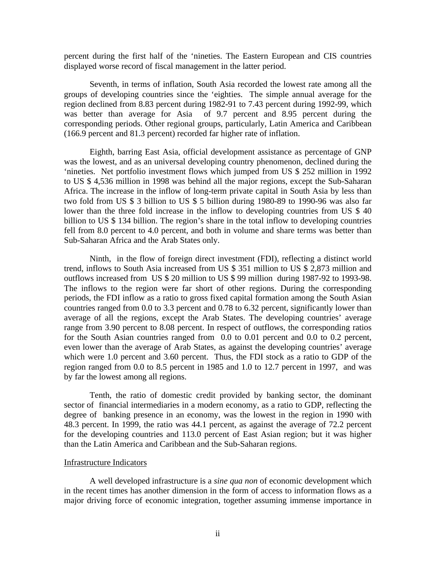percent during the first half of the 'nineties. The Eastern European and CIS countries displayed worse record of fiscal management in the latter period.

Seventh, in terms of inflation, South Asia recorded the lowest rate among all the groups of developing countries since the 'eighties. The simple annual average for the region declined from 8.83 percent during 1982-91 to 7.43 percent during 1992-99, which was better than average for Asia of 9.7 percent and 8.95 percent during the corresponding periods. Other regional groups, particularly, Latin America and Caribbean (166.9 percent and 81.3 percent) recorded far higher rate of inflation.

Eighth, barring East Asia, official development assistance as percentage of GNP was the lowest, and as an universal developing country phenomenon, declined during the 'nineties. Net portfolio investment flows which jumped from US \$ 252 million in 1992 to US \$ 4,536 million in 1998 was behind all the major regions, except the Sub-Saharan Africa. The increase in the inflow of long-term private capital in South Asia by less than two fold from US \$ 3 billion to US \$ 5 billion during 1980-89 to 1990-96 was also far lower than the three fold increase in the inflow to developing countries from US \$40 billion to US \$ 134 billion. The region's share in the total inflow to developing countries fell from 8.0 percent to 4.0 percent, and both in volume and share terms was better than Sub-Saharan Africa and the Arab States only.

Ninth, in the flow of foreign direct investment (FDI), reflecting a distinct world trend, inflows to South Asia increased from US \$ 351 million to US \$ 2,873 million and outflows increased from US \$ 20 million to US \$ 99 million during 1987-92 to 1993-98. The inflows to the region were far short of other regions. During the corresponding periods, the FDI inflow as a ratio to gross fixed capital formation among the South Asian countries ranged from 0.0 to 3.3 percent and 0.78 to 6.32 percent, significantly lower than average of all the regions, except the Arab States. The developing countries' average range from 3.90 percent to 8.08 percent. In respect of outflows, the corresponding ratios for the South Asian countries ranged from 0.0 to 0.01 percent and 0.0 to 0.2 percent, even lower than the average of Arab States, as against the developing countries' average which were 1.0 percent and 3.60 percent. Thus, the FDI stock as a ratio to GDP of the region ranged from 0.0 to 8.5 percent in 1985 and 1.0 to 12.7 percent in 1997, and was by far the lowest among all regions.

Tenth, the ratio of domestic credit provided by banking sector, the dominant sector of financial intermediaries in a modern economy, as a ratio to GDP, reflecting the degree of banking presence in an economy, was the lowest in the region in 1990 with 48.3 percent. In 1999, the ratio was 44.1 percent, as against the average of 72.2 percent for the developing countries and 113.0 percent of East Asian region; but it was higher than the Latin America and Caribbean and the Sub-Saharan regions.

# Infrastructure Indicators

A well developed infrastructure is a *sine qua non* of economic development which in the recent times has another dimension in the form of access to information flows as a major driving force of economic integration, together assuming immense importance in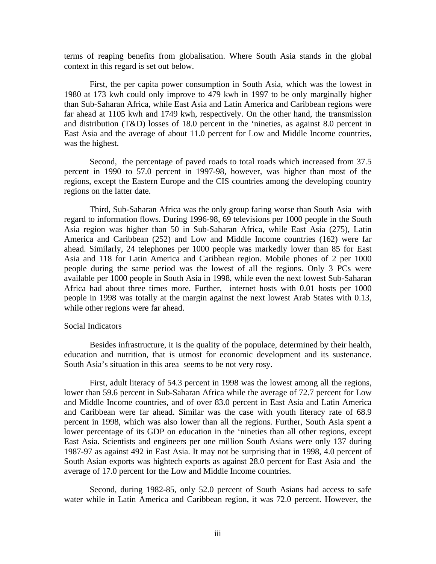terms of reaping benefits from globalisation. Where South Asia stands in the global context in this regard is set out below.

First, the per capita power consumption in South Asia, which was the lowest in 1980 at 173 kwh could only improve to 479 kwh in 1997 to be only marginally higher than Sub-Saharan Africa, while East Asia and Latin America and Caribbean regions were far ahead at 1105 kwh and 1749 kwh, respectively. On the other hand, the transmission and distribution (T&D) losses of 18.0 percent in the 'nineties, as against 8.0 percent in East Asia and the average of about 11.0 percent for Low and Middle Income countries, was the highest.

Second, the percentage of paved roads to total roads which increased from 37.5 percent in 1990 to 57.0 percent in 1997-98, however, was higher than most of the regions, except the Eastern Europe and the CIS countries among the developing country regions on the latter date.

Third, Sub-Saharan Africa was the only group faring worse than South Asia with regard to information flows. During 1996-98, 69 televisions per 1000 people in the South Asia region was higher than 50 in Sub-Saharan Africa, while East Asia (275), Latin America and Caribbean (252) and Low and Middle Income countries (162) were far ahead. Similarly, 24 telephones per 1000 people was markedly lower than 85 for East Asia and 118 for Latin America and Caribbean region. Mobile phones of 2 per 1000 people during the same period was the lowest of all the regions. Only 3 PCs were available per 1000 people in South Asia in 1998, while even the next lowest Sub-Saharan Africa had about three times more. Further, internet hosts with 0.01 hosts per 1000 people in 1998 was totally at the margin against the next lowest Arab States with 0.13, while other regions were far ahead.

## Social Indicators

Besides infrastructure, it is the quality of the populace, determined by their health, education and nutrition, that is utmost for economic development and its sustenance. South Asia's situation in this area seems to be not very rosy.

First, adult literacy of 54.3 percent in 1998 was the lowest among all the regions, lower than 59.6 percent in Sub-Saharan Africa while the average of 72.7 percent for Low and Middle Income countries, and of over 83.0 percent in East Asia and Latin America and Caribbean were far ahead. Similar was the case with youth literacy rate of 68.9 percent in 1998, which was also lower than all the regions. Further, South Asia spent a lower percentage of its GDP on education in the 'nineties than all other regions, except East Asia. Scientists and engineers per one million South Asians were only 137 during 1987-97 as against 492 in East Asia. It may not be surprising that in 1998, 4.0 percent of South Asian exports was hightech exports as against 28.0 percent for East Asia and the average of 17.0 percent for the Low and Middle Income countries.

Second, during 1982-85, only 52.0 percent of South Asians had access to safe water while in Latin America and Caribbean region, it was 72.0 percent. However, the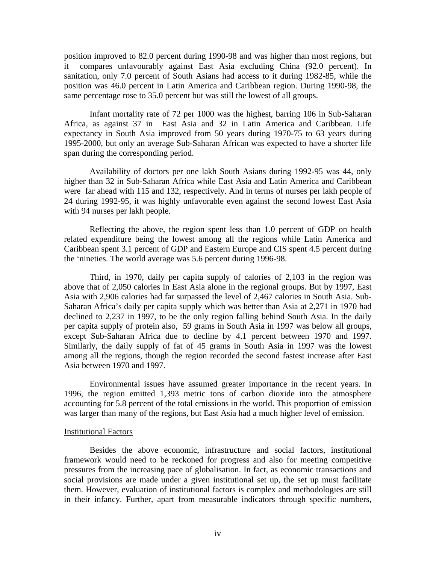position improved to 82.0 percent during 1990-98 and was higher than most regions, but it compares unfavourably against East Asia excluding China (92.0 percent). In sanitation, only 7.0 percent of South Asians had access to it during 1982-85, while the position was 46.0 percent in Latin America and Caribbean region. During 1990-98, the same percentage rose to 35.0 percent but was still the lowest of all groups.

Infant mortality rate of 72 per 1000 was the highest, barring 106 in Sub-Saharan Africa, as against 37 in East Asia and 32 in Latin America and Caribbean. Life expectancy in South Asia improved from 50 years during 1970-75 to 63 years during 1995-2000, but only an average Sub-Saharan African was expected to have a shorter life span during the corresponding period.

Availability of doctors per one lakh South Asians during 1992-95 was 44, only higher than 32 in Sub-Saharan Africa while East Asia and Latin America and Caribbean were far ahead with 115 and 132, respectively. And in terms of nurses per lakh people of 24 during 1992-95, it was highly unfavorable even against the second lowest East Asia with 94 nurses per lakh people.

Reflecting the above, the region spent less than 1.0 percent of GDP on health related expenditure being the lowest among all the regions while Latin America and Caribbean spent 3.1 percent of GDP and Eastern Europe and CIS spent 4.5 percent during the 'nineties. The world average was 5.6 percent during 1996-98.

Third, in 1970, daily per capita supply of calories of 2,103 in the region was above that of 2,050 calories in East Asia alone in the regional groups. But by 1997, East Asia with 2,906 calories had far surpassed the level of 2,467 calories in South Asia. Sub-Saharan Africa's daily per capita supply which was better than Asia at 2,271 in 1970 had declined to 2,237 in 1997, to be the only region falling behind South Asia. In the daily per capita supply of protein also, 59 grams in South Asia in 1997 was below all groups, except Sub-Saharan Africa due to decline by 4.1 percent between 1970 and 1997. Similarly, the daily supply of fat of 45 grams in South Asia in 1997 was the lowest among all the regions, though the region recorded the second fastest increase after East Asia between 1970 and 1997.

Environmental issues have assumed greater importance in the recent years. In 1996, the region emitted 1,393 metric tons of carbon dioxide into the atmosphere accounting for 5.8 percent of the total emissions in the world. This proportion of emission was larger than many of the regions, but East Asia had a much higher level of emission.

#### Institutional Factors

Besides the above economic, infrastructure and social factors, institutional framework would need to be reckoned for progress and also for meeting competitive pressures from the increasing pace of globalisation. In fact, as economic transactions and social provisions are made under a given institutional set up, the set up must facilitate them. However, evaluation of institutional factors is complex and methodologies are still in their infancy. Further, apart from measurable indicators through specific numbers,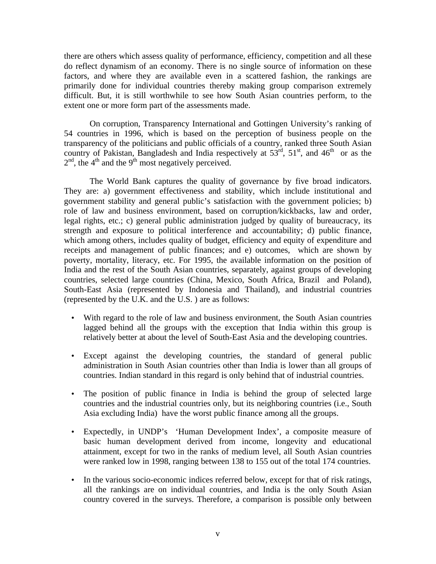there are others which assess quality of performance, efficiency, competition and all these do reflect dynamism of an economy. There is no single source of information on these factors, and where they are available even in a scattered fashion, the rankings are primarily done for individual countries thereby making group comparison extremely difficult. But, it is still worthwhile to see how South Asian countries perform, to the extent one or more form part of the assessments made.

On corruption, Transparency International and Gottingen University's ranking of 54 countries in 1996, which is based on the perception of business people on the transparency of the politicians and public officials of a country, ranked three South Asian country of Pakistan, Bangladesh and India respectively at  $53<sup>rd</sup>$ ,  $51<sup>st</sup>$ , and  $46<sup>th</sup>$  or as the  $2<sup>nd</sup>$ , the 4<sup>th</sup> and the 9<sup>th</sup> most negatively perceived.

The World Bank captures the quality of governance by five broad indicators. They are: a) government effectiveness and stability, which include institutional and government stability and general public's satisfaction with the government policies; b) role of law and business environment, based on corruption/kickbacks, law and order, legal rights, etc.; c) general public administration judged by quality of bureaucracy, its strength and exposure to political interference and accountability; d) public finance, which among others, includes quality of budget, efficiency and equity of expenditure and receipts and management of public finances; and e) outcomes, which are shown by poverty, mortality, literacy, etc. For 1995, the available information on the position of India and the rest of the South Asian countries, separately, against groups of developing countries, selected large countries (China, Mexico, South Africa, Brazil and Poland), South-East Asia (represented by Indonesia and Thailand), and industrial countries (represented by the U.K. and the U.S. ) are as follows:

- With regard to the role of law and business environment, the South Asian countries lagged behind all the groups with the exception that India within this group is relatively better at about the level of South-East Asia and the developing countries.
- Except against the developing countries, the standard of general public administration in South Asian countries other than India is lower than all groups of countries. Indian standard in this regard is only behind that of industrial countries.
- The position of public finance in India is behind the group of selected large countries and the industrial countries only, but its neighboring countries (i.e., South Asia excluding India) have the worst public finance among all the groups.
- Expectedly, in UNDP's 'Human Development Index', a composite measure of basic human development derived from income, longevity and educational attainment, except for two in the ranks of medium level, all South Asian countries were ranked low in 1998, ranging between 138 to 155 out of the total 174 countries.
- In the various socio-economic indices referred below, except for that of risk ratings, all the rankings are on individual countries, and India is the only South Asian country covered in the surveys. Therefore, a comparison is possible only between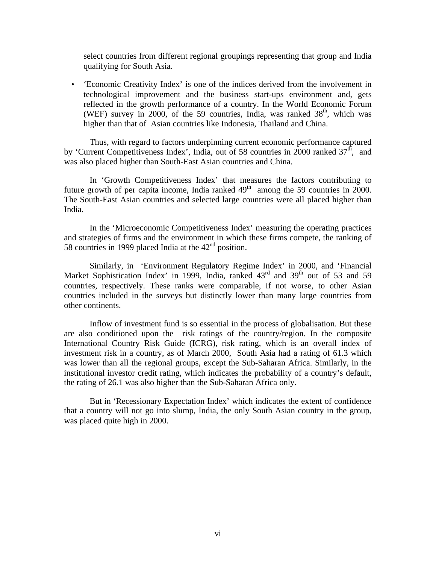select countries from different regional groupings representing that group and India qualifying for South Asia.

• 'Economic Creativity Index' is one of the indices derived from the involvement in technological improvement and the business start-ups environment and, gets reflected in the growth performance of a country. In the World Economic Forum (WEF) survey in 2000, of the 59 countries, India, was ranked  $38<sup>th</sup>$ , which was higher than that of Asian countries like Indonesia, Thailand and China.

Thus, with regard to factors underpinning current economic performance captured by 'Current Competitiveness Index', India, out of 58 countries in 2000 ranked  $37<sup>th</sup>$ , and was also placed higher than South-East Asian countries and China.

In 'Growth Competitiveness Index' that measures the factors contributing to future growth of per capita income, India ranked  $49<sup>th</sup>$  among the 59 countries in 2000. The South-East Asian countries and selected large countries were all placed higher than India.

In the 'Microeconomic Competitiveness Index' measuring the operating practices and strategies of firms and the environment in which these firms compete, the ranking of 58 countries in 1999 placed India at the  $42<sup>nd</sup>$  position.

Similarly, in 'Environment Regulatory Regime Index' in 2000, and 'Financial Market Sophistication Index' in 1999, India, ranked  $43<sup>rd</sup>$  and  $39<sup>th</sup>$  out of 53 and 59 countries, respectively. These ranks were comparable, if not worse, to other Asian countries included in the surveys but distinctly lower than many large countries from other continents.

Inflow of investment fund is so essential in the process of globalisation. But these are also conditioned upon the risk ratings of the country/region. In the composite International Country Risk Guide (ICRG), risk rating, which is an overall index of investment risk in a country, as of March 2000, South Asia had a rating of 61.3 which was lower than all the regional groups, except the Sub-Saharan Africa. Similarly, in the institutional investor credit rating, which indicates the probability of a country's default, the rating of 26.1 was also higher than the Sub-Saharan Africa only.

But in 'Recessionary Expectation Index' which indicates the extent of confidence that a country will not go into slump, India, the only South Asian country in the group, was placed quite high in 2000.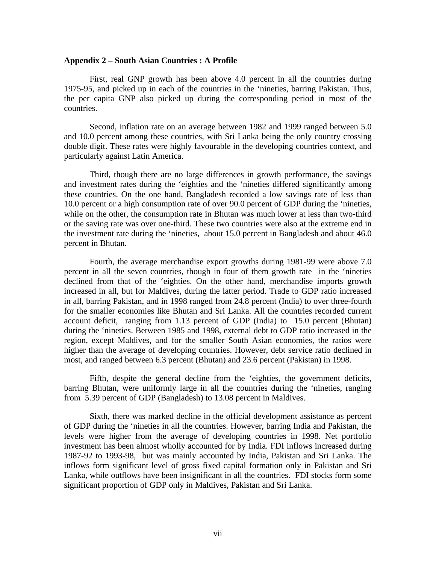## **Appendix 2 – South Asian Countries : A Profile**

First, real GNP growth has been above 4.0 percent in all the countries during 1975-95, and picked up in each of the countries in the 'nineties, barring Pakistan. Thus, the per capita GNP also picked up during the corresponding period in most of the countries.

Second, inflation rate on an average between 1982 and 1999 ranged between 5.0 and 10.0 percent among these countries, with Sri Lanka being the only country crossing double digit. These rates were highly favourable in the developing countries context, and particularly against Latin America.

Third, though there are no large differences in growth performance, the savings and investment rates during the 'eighties and the 'nineties differed significantly among these countries. On the one hand, Bangladesh recorded a low savings rate of less than 10.0 percent or a high consumption rate of over 90.0 percent of GDP during the 'nineties, while on the other, the consumption rate in Bhutan was much lower at less than two-third or the saving rate was over one-third. These two countries were also at the extreme end in the investment rate during the 'nineties, about 15.0 percent in Bangladesh and about 46.0 percent in Bhutan.

Fourth, the average merchandise export growths during 1981-99 were above 7.0 percent in all the seven countries, though in four of them growth rate in the 'nineties declined from that of the 'eighties. On the other hand, merchandise imports growth increased in all, but for Maldives, during the latter period. Trade to GDP ratio increased in all, barring Pakistan, and in 1998 ranged from 24.8 percent (India) to over three-fourth for the smaller economies like Bhutan and Sri Lanka. All the countries recorded current account deficit, ranging from 1.13 percent of GDP (India) to 15.0 percent (Bhutan) during the 'nineties. Between 1985 and 1998, external debt to GDP ratio increased in the region, except Maldives, and for the smaller South Asian economies, the ratios were higher than the average of developing countries. However, debt service ratio declined in most, and ranged between 6.3 percent (Bhutan) and 23.6 percent (Pakistan) in 1998.

Fifth, despite the general decline from the 'eighties, the government deficits, barring Bhutan, were uniformly large in all the countries during the 'nineties, ranging from 5.39 percent of GDP (Bangladesh) to 13.08 percent in Maldives.

Sixth, there was marked decline in the official development assistance as percent of GDP during the 'nineties in all the countries. However, barring India and Pakistan, the levels were higher from the average of developing countries in 1998. Net portfolio investment has been almost wholly accounted for by India. FDI inflows increased during 1987-92 to 1993-98, but was mainly accounted by India, Pakistan and Sri Lanka. The inflows form significant level of gross fixed capital formation only in Pakistan and Sri Lanka, while outflows have been insignificant in all the countries. FDI stocks form some significant proportion of GDP only in Maldives, Pakistan and Sri Lanka.